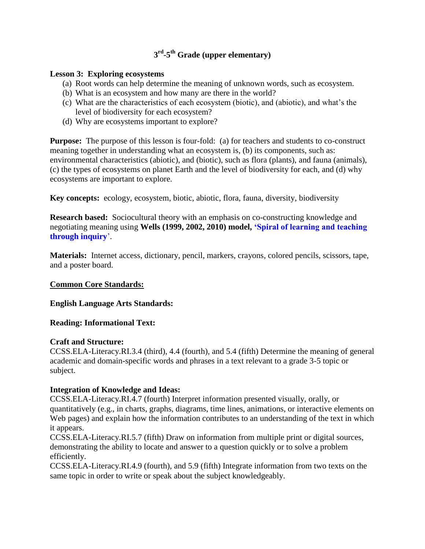# **3 rd -5 th Grade (upper elementary)**

## **Lesson 3: Exploring ecosystems**

- (a) Root words can help determine the meaning of unknown words, such as ecosystem.
- (b) What is an ecosystem and how many are there in the world?
- (c) What are the characteristics of each ecosystem (biotic), and (abiotic), and what"s the level of biodiversity for each ecosystem?
- (d) Why are ecosystems important to explore?

**Purpose:** The purpose of this lesson is four-fold: (a) for teachers and students to co-construct meaning together in understanding what an ecosystem is, (b) its components, such as: environmental characteristics (abiotic), and (biotic), such as flora (plants), and fauna (animals), (c) the types of ecosystems on planet Earth and the level of biodiversity for each, and (d) why ecosystems are important to explore.

**Key concepts:** ecology, ecosystem, biotic, abiotic, flora, fauna, diversity, biodiversity

**Research based:** Sociocultural theory with an emphasis on co-constructing knowledge and negotiating meaning using **Wells (1999, 2002, 2010) model, "Spiral of learning and teaching through inquiry**".

**Materials:** Internet access, dictionary, pencil, markers, crayons, colored pencils, scissors, tape, and a poster board.

# **Common Core Standards:**

**English Language Arts Standards:** 

# **Reading: Informational Text:**

### **Craft and Structure:**

CCSS.ELA-Literacy.RI.3.4 (third), 4.4 (fourth), and 5.4 (fifth) Determine the meaning of general academic and domain-specific words and phrases in a text relevant to a grade 3-5 topic or subject.

### **Integration of Knowledge and Ideas:**

CCSS.ELA-Literacy.RI.4.7 (fourth) Interpret information presented visually, orally, or quantitatively (e.g., in charts, graphs, diagrams, time lines, animations, or interactive elements on Web pages) and explain how the information contributes to an understanding of the text in which it appears.

CCSS.ELA-Literacy.RI.5.7 (fifth) Draw on information from multiple print or digital sources, demonstrating the ability to locate and answer to a question quickly or to solve a problem efficiently.

CCSS.ELA-Literacy.RI.4.9 (fourth), and 5.9 (fifth) Integrate information from two texts on the same topic in order to write or speak about the subject knowledgeably.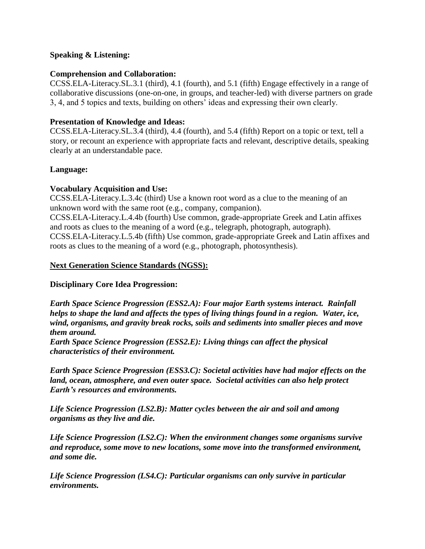## **Speaking & Listening:**

### **Comprehension and Collaboration:**

CCSS.ELA-Literacy.SL.3.1 (third), 4.1 (fourth), and 5.1 (fifth) Engage effectively in a range of collaborative discussions (one-on-one, in groups, and teacher-led) with diverse partners on grade 3, 4, and 5 topics and texts, building on others" ideas and expressing their own clearly.

# **Presentation of Knowledge and Ideas:**

CCSS.ELA-Literacy.SL.3.4 (third), 4.4 (fourth), and 5.4 (fifth) Report on a topic or text, tell a story, or recount an experience with appropriate facts and relevant, descriptive details, speaking clearly at an understandable pace.

## **Language:**

## **Vocabulary Acquisition and Use:**

CCSS.ELA-Literacy.L.3.4c (third) Use a known root word as a clue to the meaning of an unknown word with the same root (e.g., company, companion). CCSS.ELA-Literacy.L.4.4b (fourth) Use common, grade-appropriate Greek and Latin affixes and roots as clues to the meaning of a word (e.g., telegraph, photograph, autograph). CCSS.ELA-Literacy.L.5.4b (fifth) Use common, grade-appropriate Greek and Latin affixes and

roots as clues to the meaning of a word (e.g., photograph, photosynthesis).

## **Next Generation Science Standards (NGSS):**

# **Disciplinary Core Idea Progression:**

*Earth Space Science Progression (ESS2.A): Four major Earth systems interact. Rainfall helps to shape the land and affects the types of living things found in a region. Water, ice, wind, organisms, and gravity break rocks, soils and sediments into smaller pieces and move them around.* 

*Earth Space Science Progression (ESS2.E): Living things can affect the physical characteristics of their environment.* 

*Earth Space Science Progression (ESS3.C): Societal activities have had major effects on the land, ocean, atmosphere, and even outer space. Societal activities can also help protect Earth's resources and environments.* 

*Life Science Progression (LS2.B): Matter cycles between the air and soil and among organisms as they live and die.* 

*Life Science Progression (LS2.C): When the environment changes some organisms survive and reproduce, some move to new locations, some move into the transformed environment, and some die.* 

*Life Science Progression (LS4.C): Particular organisms can only survive in particular environments.*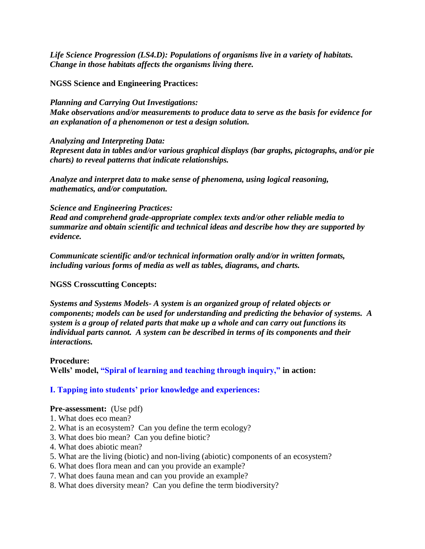*Life Science Progression (LS4.D): Populations of organisms live in a variety of habitats. Change in those habitats affects the organisms living there.* 

### **NGSS Science and Engineering Practices:**

*Planning and Carrying Out Investigations: Make observations and/or measurements to produce data to serve as the basis for evidence for an explanation of a phenomenon or test a design solution.* 

*Analyzing and Interpreting Data:* 

*Represent data in tables and/or various graphical displays (bar graphs, pictographs, and/or pie charts) to reveal patterns that indicate relationships.* 

*Analyze and interpret data to make sense of phenomena, using logical reasoning, mathematics, and/or computation.* 

### *Science and Engineering Practices:*

*Read and comprehend grade-appropriate complex texts and/or other reliable media to summarize and obtain scientific and technical ideas and describe how they are supported by evidence.* 

*Communicate scientific and/or technical information orally and/or in written formats, including various forms of media as well as tables, diagrams, and charts.* 

# **NGSS Crosscutting Concepts:**

*Systems and Systems Models- A system is an organized group of related objects or components; models can be used for understanding and predicting the behavior of systems. A system is a group of related parts that make up a whole and can carry out functions its individual parts cannot. A system can be described in terms of its components and their interactions.* 

### **Procedure:**

**Wells" model, "Spiral of learning and teaching through inquiry," in action:** 

### **I. Tapping into students" prior knowledge and experiences:**

### **Pre-assessment:** (Use pdf)

- 1. What does eco mean?
- 2. What is an ecosystem? Can you define the term ecology?
- 3. What does bio mean? Can you define biotic?
- 4. What does abiotic mean?
- 5. What are the living (biotic) and non-living (abiotic) components of an ecosystem?
- 6. What does flora mean and can you provide an example?
- 7. What does fauna mean and can you provide an example?
- 8. What does diversity mean? Can you define the term biodiversity?